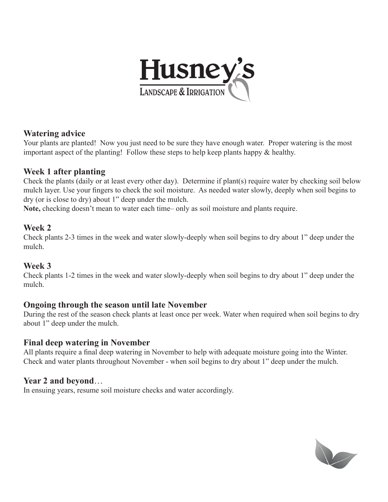

#### **Watering advice**

Your plants are planted! Now you just need to be sure they have enough water. Proper watering is the most important aspect of the planting! Follow these steps to help keep plants happy & healthy.

#### **Week 1 after planting**

Check the plants (daily or at least every other day). Determine if plant(s) require water by checking soil below mulch layer. Use your fingers to check the soil moisture. As needed water slowly, deeply when soil begins to dry (or is close to dry) about 1" deep under the mulch.

**Note,** checking doesn't mean to water each time– only as soil moisture and plants require.

#### **Week 2**

Check plants 2-3 times in the week and water slowly-deeply when soil begins to dry about 1" deep under the mulch.

#### **Week 3**

Check plants 1-2 times in the week and water slowly-deeply when soil begins to dry about 1" deep under the mulch.

#### **Ongoing through the season until late November**

During the rest of the season check plants at least once per week. Water when required when soil begins to dry about 1" deep under the mulch.

#### **Final deep watering in November**

All plants require a final deep watering in November to help with adequate moisture going into the Winter. Check and water plants throughout November - when soil begins to dry about 1" deep under the mulch.

#### **Year 2 and beyond**…

In ensuing years, resume soil moisture checks and water accordingly.